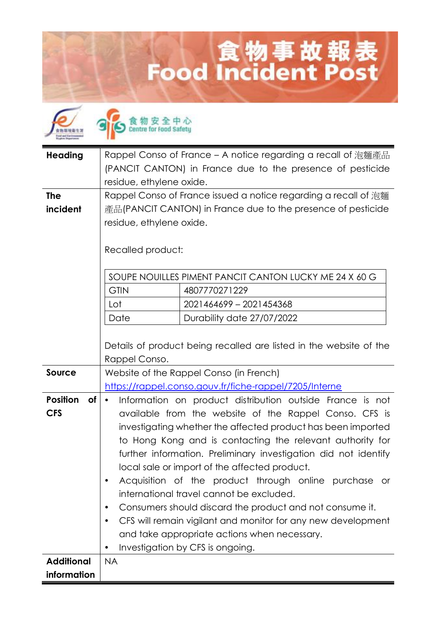## 食物事故報表<br>Food Incident Post

| <b>Heading</b>        | Rappel Conso of France – A notice regarding a recall of 泡麵產品<br>(PANCIT CANTON) in France due to the presence of pesticide<br>residue, ethylene oxide. |                                                                    |
|-----------------------|--------------------------------------------------------------------------------------------------------------------------------------------------------|--------------------------------------------------------------------|
| <b>The</b>            | Rappel Conso of France issued a notice regarding a recall of 泡麵                                                                                        |                                                                    |
| incident              | 產品(PANCIT CANTON) in France due to the presence of pesticide<br>residue, ethylene oxide.                                                               |                                                                    |
|                       |                                                                                                                                                        |                                                                    |
|                       | Recalled product:                                                                                                                                      |                                                                    |
|                       |                                                                                                                                                        |                                                                    |
|                       |                                                                                                                                                        | SOUPE NOUILLES PIMENT PANCIT CANTON LUCKY ME 24 X 60 G             |
|                       | <b>GTIN</b>                                                                                                                                            | 4807770271229                                                      |
|                       | Lot                                                                                                                                                    | 2021464699 - 2021454368                                            |
|                       | Date                                                                                                                                                   | Durability date 27/07/2022                                         |
|                       |                                                                                                                                                        | Details of product being recalled are listed in the website of the |
|                       | Rappel Conso.                                                                                                                                          |                                                                    |
| <b>Source</b>         | Website of the Rappel Conso (in French)                                                                                                                |                                                                    |
|                       |                                                                                                                                                        | https://rappel.conso.gouv.fr/fiche-rappel/7205/Interne             |
| <b>Position</b><br>of | $\bullet$                                                                                                                                              | Information on product distribution outside France is not          |
| <b>CFS</b>            | available from the website of the Rappel Conso. CFS is                                                                                                 |                                                                    |
|                       | investigating whether the affected product has been imported                                                                                           |                                                                    |
|                       | to Hong Kong and is contacting the relevant authority for                                                                                              |                                                                    |
|                       | further information. Preliminary investigation did not identify                                                                                        |                                                                    |
|                       | local sale or import of the affected product.                                                                                                          |                                                                    |
|                       | Acquisition of the product through online purchase or                                                                                                  |                                                                    |
|                       | international travel cannot be excluded.<br>Consumers should discard the product and not consume it.<br>٠                                              |                                                                    |
|                       | CFS will remain vigilant and monitor for any new development                                                                                           |                                                                    |
|                       | and take appropriate actions when necessary.                                                                                                           |                                                                    |
|                       | Investigation by CFS is ongoing.<br>$\bullet$                                                                                                          |                                                                    |
| <b>Additional</b>     | <b>NA</b>                                                                                                                                              |                                                                    |
| information           |                                                                                                                                                        |                                                                    |